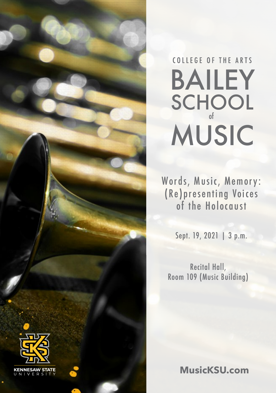

### SCHOOL BAILEY MUSIC of COLLEGE OF THE ARTS

Words, Music, Memory: (Re)presenting Voices of the Holocaust

Sept. 19, 2021 | 3 p.m.

Recital Hall, Room 109 (Music Building)

**MusicKSU.com**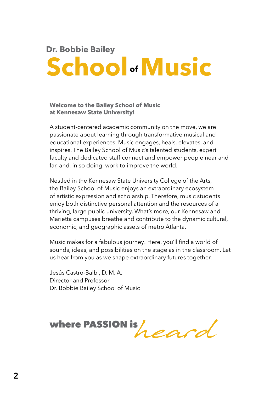### **School Music of Dr. Bobbie Bailey**

#### **Welcome to the Bailey School of Music at Kennesaw State University!**

A student-centered academic community on the move, we are passionate about learning through transformative musical and educational experiences. Music engages, heals, elevates, and inspires. The Bailey School of Music's talented students, expert faculty and dedicated staff connect and empower people near and far, and, in so doing, work to improve the world.

Nestled in the Kennesaw State University College of the Arts, the Bailey School of Music enjoys an extraordinary ecosystem of artistic expression and scholarship. Therefore, music students enjoy both distinctive personal attention and the resources of a thriving, large public university. What's more, our Kennesaw and Marietta campuses breathe and contribute to the dynamic cultural, economic, and geographic assets of metro Atlanta.

Music makes for a fabulous journey! Here, you'll find a world of sounds, ideas, and possibilities on the stage as in the classroom. Let us hear from you as we shape extraordinary futures together.

Jesús Castro-Balbi, D. M. A. Director and Professor Dr. Bobbie Bailey School of Music

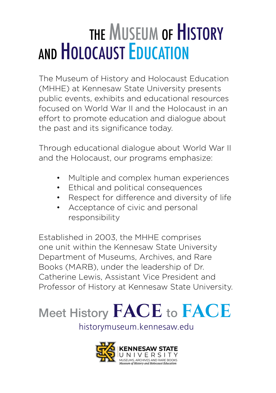## THE MUSEUM OF HISTORY AND HOLOCAUST EDUCATION

The Museum of History and Holocaust Education (MHHE) at Kennesaw State University presents public events, exhibits and educational resources focused on World War II and the Holocaust in an effort to promote education and dialogue about the past and its significance today.

Through educational dialogue about World War II and the Holocaust, our programs emphasize:

- Multiple and complex human experiences
- Ethical and political consequences
- Respect for difference and diversity of life
- Acceptance of civic and personal responsibility

Established in 2003, the MHHE comprises one unit within the Kennesaw State University Department of Museums, Archives, and Rare Books (MARB), under the leadership of Dr. Catherine Lewis, Assistant Vice President and Professor of History at Kennesaw State University.



historymuseum.kennesaw.edu

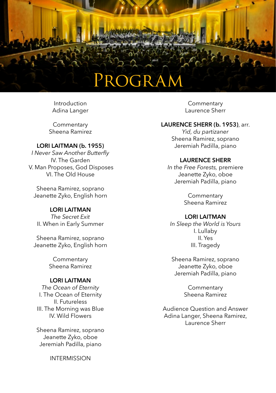### ROGRAM

Introduction Adina Langer

**Commentary** Sheena Ramirez

#### **LORI LAITMAN (b. 1955)**

*I Never Saw Another Butterfly*  IV. The Garden V. Man Proposes, God Disposes VI. The Old House

Sheena Ramirez, soprano Jeanette Zyko, English horn

#### **LORI LAITMAN**

*The Secret Exit* II. When in Early Summer

Sheena Ramirez, soprano Jeanette Zyko, English horn

> **Commentary** Sheena Ramirez

#### **LORI LAITMAN**

*The Ocean of Eternity* I. The Ocean of Eternity II. Futureless III. The Morning was Blue IV. Wild Flowers

Sheena Ramirez, soprano Jeanette Zyko, oboe Jeremiah Padilla, piano

INTERMISSION

**Commentary** Laurence Sherr

#### **LAURENCE SHERR (b. 1953)**, arr.

*Yid, du partizaner* Sheena Ramirez, soprano Jeremiah Padilla, piano

#### **LAURENCE SHERR**

*In the Free Forests,* premiere Jeanette Zyko, oboe Jeremiah Padilla, piano

> **Commentary** Sheena Ramirez

#### **LORI LAITMAN**

*In Sleep the World is Yours* I. Lullaby II. Yes III. Tragedy

Sheena Ramirez, soprano Jeanette Zyko, oboe Jeremiah Padilla, piano

> **Commentary** Sheena Ramirez

Audience Question and Answer Adina Langer, Sheena Ramirez, Laurence Sherr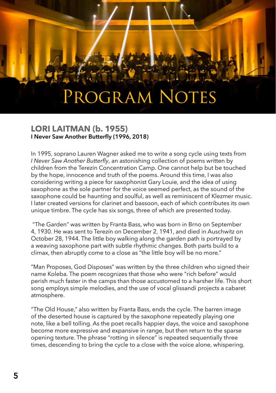### PROGRAM NOTES

#### **LORI LAITMAN (b. 1955) I Never Saw Another Butterfly (1996, 2018)**

In 1995, soprano Lauren Wagner asked me to write a song cycle using texts from *I Never Saw Another Butterfly*, an astonishing collection of poems written by children from the Terezín Concentration Camp. One cannot help but be touched by the hope, innocence and truth of the poems. Around this time, I was also considering writing a piece for saxophonist Gary Louie, and the idea of using saxophone as the sole partner for the voice seemed perfect, as the sound of the saxophone could be haunting and soulful, as well as reminiscent of Klezmer music. I later created versions for clarinet and bassoon, each of which contributes its own unique timbre. The cycle has six songs, three of which are presented today.

 "The Garden" was written by Franta Bass, who was born in Brno on September 4, 1930. He was sent to Terezín on December 2, 1941, and died in Auschwitz on October 28, 1944. The little boy walking along the garden path is portrayed by a weaving saxophone part with subtle rhythmic changes. Both parts build to a climax, then abruptly come to a close as "the little boy will be no more."

"Man Proposes, God Disposes" was written by the three children who signed their name Koleba. The poem recognizes that those who were "rich before" would perish much faster in the camps than those accustomed to a harsher life. This short song employs simple melodies, and the use of vocal glissandi projects a cabaret atmosphere.

"The Old House," also written by Franta Bass, ends the cycle. The barren image of the deserted house is captured by the saxophone repeatedly playing one note, like a bell tolling. As the poet recalls happier days, the voice and saxophone become more expressive and expansive in range, but then return to the sparse opening texture. The phrase "rotting in silence" is repeated sequentially three times, descending to bring the cycle to a close with the voice alone, whispering.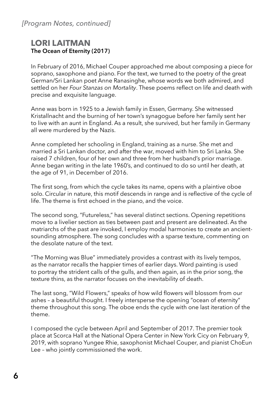#### **LORI LAITMAN The Ocean of Eternity (2017)**

In February of 2016, Michael Couper approached me about composing a piece for soprano, saxophone and piano. For the text, we turned to the poetry of the great German/Sri Lankan poet Anne Ranasinghe, whose words we both admired, and settled on her *Four Stanzas on Mortality*. These poems reflect on life and death with precise and exquisite language.

Anne was born in 1925 to a Jewish family in Essen, Germany. She witnessed Kristallnacht and the burning of her town's synagogue before her family sent her to live with an aunt in England. As a result, she survived, but her family in Germany all were murdered by the Nazis.

Anne completed her schooling in England, training as a nurse. She met and married a Sri Lankan doctor, and after the war, moved with him to Sri Lanka. She raised 7 children, four of her own and three from her husband's prior marriage. Anne began writing in the late 1960's, and continued to do so until her death, at the age of 91, in December of 2016.

The first song, from which the cycle takes its name, opens with a plaintive oboe solo. Circular in nature, this motif descends in range and is reflective of the cycle of life. The theme is first echoed in the piano, and the voice.

The second song, "Futureless," has several distinct sections. Opening repetitions move to a livelier section as ties between past and present are delineated. As the matriarchs of the past are invoked, I employ modal harmonies to create an ancientsounding atmosphere. The song concludes with a sparse texture, commenting on the desolate nature of the text.

"The Morning was Blue" immediately provides a contrast with its lively tempos, as the narrator recalls the happier times of earlier days. Word painting is used to portray the strident calls of the gulls, and then again, as in the prior song, the texture thins, as the narrator focuses on the inevitability of death.

The last song, "Wild Flowers," speaks of how wild flowers will blossom from our ashes – a beautiful thought. I freely intersperse the opening "ocean of eternity" theme throughout this song. The oboe ends the cycle with one last iteration of the theme.

I composed the cycle between April and September of 2017. The premier took place at Scorca Hall at the National Opera Center in New York Cicy on February 9, 2019, with soprano Yungee Rhie, saxophonist Michael Couper, and pianist ChoEun Lee – who jointly commissioned the work.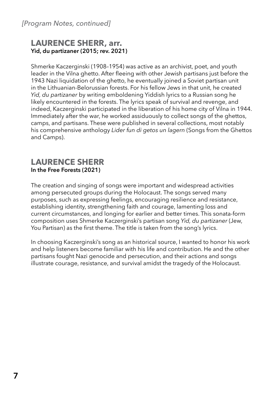#### **LAURENCE SHERR, arr. Yid, du partizaner (2015; rev. 2021)**

Shmerke Kaczerginski (1908–1954) was active as an archivist, poet, and youth leader in the Vilna ghetto. After fleeing with other Jewish partisans just before the 1943 Nazi liquidation of the ghetto, he eventually joined a Soviet partisan unit in the Lithuanian-Belorussian forests. For his fellow Jews in that unit, he created *Yid, du partizaner* by writing emboldening Yiddish lyrics to a Russian song he likely encountered in the forests. The lyrics speak of survival and revenge, and indeed, Kaczerginski participated in the liberation of his home city of Vilna in 1944. Immediately after the war, he worked assiduously to collect songs of the ghettos, camps, and partisans. These were published in several collections, most notably his comprehensive anthology *Lider fun di getos un lagern* (Songs from the Ghettos and Camps).

#### **LAURENCE SHERR In the Free Forests (2021)**

The creation and singing of songs were important and widespread activities among persecuted groups during the Holocaust. The songs served many purposes, such as expressing feelings, encouraging resilience and resistance, establishing identity, strengthening faith and courage, lamenting loss and current circumstances, and longing for earlier and better times. This sonata-form composition uses Shmerke Kaczerginski's partisan song *Yid, du partizaner* (Jew, You Partisan) as the first theme. The title is taken from the song's lyrics.

In choosing Kaczerginski's song as an historical source, I wanted to honor his work and help listeners become familiar with his life and contribution. He and the other partisans fought Nazi genocide and persecution, and their actions and songs illustrate courage, resistance, and survival amidst the tragedy of the Holocaust.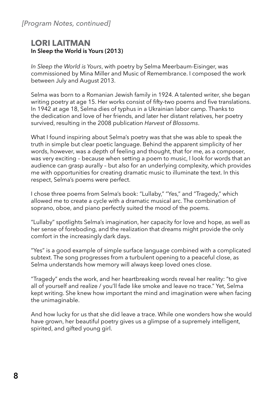#### *[Program Notes, continued]*

#### **LORI LAITMAN In Sleep the World is Yours (2013)**

*In Sleep the World is Yours*, with poetry by Selma Meerbaum-Eisinger, was commissioned by Mina Miller and Music of Remembrance. I composed the work between July and August 2013.

Selma was born to a Romanian Jewish family in 1924. A talented writer, she began writing poetry at age 15. Her works consist of fifty-two poems and five translations. In 1942 at age 18, Selma dies of typhus in a Ukrainian labor camp. Thanks to the dedication and love of her friends, and later her distant relatives, her poetry survived, resulting in the 2008 publication *Harvest of Blossoms*.

What I found inspiring about Selma's poetry was that she was able to speak the truth in simple but clear poetic language. Behind the apparent simplicity of her words, however, was a depth of feeling and thought, that for me, as a composer, was very exciting – because when setting a poem to music, I look for words that an audience can grasp aurally – but also for an underlying complexity, which provides me with opportunities for creating dramatic music to illuminate the text. In this respect, Selma's poems were perfect.

I chose three poems from Selma's book: "Lullaby," "Yes," and "Tragedy," which allowed me to create a cycle with a dramatic musical arc. The combination of soprano, oboe, and piano perfectly suited the mood of the poems.

"Lullaby" spotlights Selma's imagination, her capacity for love and hope, as well as her sense of foreboding, and the realization that dreams might provide the only comfort in the increasingly dark days.

"Yes" is a good example of simple surface language combined with a complicated subtext. The song progresses from a turbulent opening to a peaceful close, as Selma understands how memory will always keep loved ones close.

"Tragedy" ends the work, and her heartbreaking words reveal her reality: "to give all of yourself and realize / you'll fade like smoke and leave no trace." Yet, Selma kept writing. She knew how important the mind and imagination were when facing the unimaginable.

And how lucky for us that she did leave a trace. While one wonders how she would have grown, her beautiful poetry gives us a glimpse of a supremely intelligent, spirited, and gifted young girl.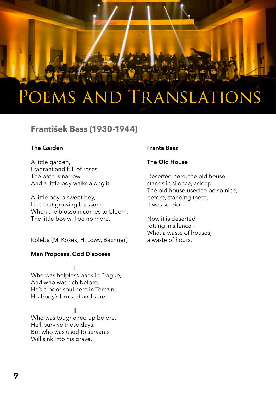### Poems and Translations

#### **František Bass (1930-1944)**

#### **The Garden**

A little garden, Fragrant and full of roses. The path is narrow And a little boy walks along it.

A little boy, a sweet boy, Like that growing blossom. When the blossom comes to bloom, The little boy will be no more.

Kolébá (M. Košek, H. Löwy, Bachner)

#### **Man Proposes, God Disposes**

 I. Who was helpless back in Prague, And who was rich before, He's a poor soul here in Terezin, His body's bruised and sore.

II. San Antonio III. Who was toughened up before, He'll survive these days. But who was used to servants Will sink into his grave.

#### **Franta Bass**

#### **The Old House**

Deserted here, the old house stands in silence, asleep. The old house used to be so nice, before, standing there, it was so nice.

Now it is deserted, rotting in silence – What a waste of houses, a waste of hours.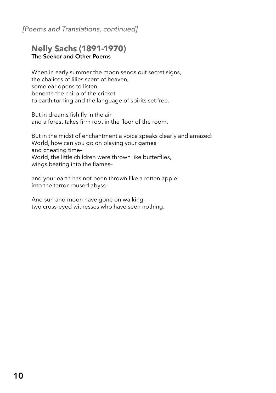#### *[Poems and Translations, continued]*

#### **Nelly Sachs (1891-1970) The Seeker and Other Poems**

When in early summer the moon sends out secret signs, the chalices of lilies scent of heaven, some ear opens to listen beneath the chirp of the cricket to earth turning and the language of spirits set free.

But in dreams fish fly in the air and a forest takes firm root in the floor of the room.

But in the midst of enchantment a voice speaks clearly and amazed: World, how can you go on playing your games and cheating time– World, the little children were thrown like butterflies, wings beating into the flames–

and your earth has not been thrown like a rotten apple into the terror-roused abyss–

And sun and moon have gone on walking– two cross-eyed witnesses who have seen nothing.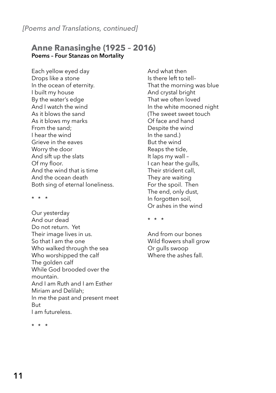#### **Anne Ranasinghe (1925 – 2016) Poems – Four Stanzas on Mortality**

Each yellow eyed day Drops like a stone In the ocean of eternity. I built my house By the water's edge And I watch the wind As it blows the sand As it blows my marks From the sand; I hear the wind Grieve in the eaves Worry the door And sift up the slats Of my floor. And the wind that is time And the ocean death Both sing of eternal loneliness.

\* \* \*

Our yesterday And our dead Do not return. Yet Their image lives in us. So that I am the one Who walked through the sea Who worshipped the calf The golden calf While God brooded over the mountain. And I am Ruth and I am Esther Miriam and Delilah; In me the past and present meet But I am futureless.

And what then Is there left to tell– That the morning was blue And crystal bright That we often loved In the white mooned night (The sweet sweet touch Of face and hand Despite the wind In the sand.) But the wind Reaps the tide, It laps my wall – I can hear the gulls, Their strident call, They are waiting For the spoil. Then The end, only dust, In forgotten soil, Or ashes in the wind

\* \* \*

And from our bones Wild flowers shall grow Or gulls swoop Where the ashes fall.

\* \* \*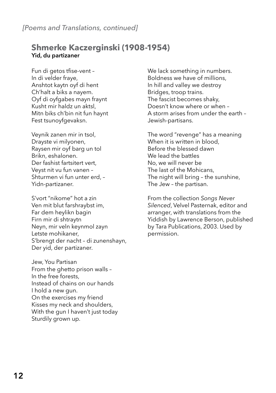#### **Shmerke Kaczerginski (1908-1954) Yid, du partizaner**

Fun di getos tfise-vent – In di velder fraye, Anshtot kaytn oyf di hent Ch'halt a biks a nayem. Oyf di oyfgabes mayn fraynt Kusht mir haldz un aktsl, Mitn biks ch'bin nit fun haynt Fest tsunoyfgevaksn.

Veynik zanen mir in tsol, Drayste vi milyonen, Raysen mir oyf barg un tol Brikn, eshalonen. Der fashist fartsitert vert, Veyst nit vu fun vanen – Shturmen vi fun unter erd, – Yidn-partizaner.

S'vort "nikome" hot a zin Ven mit blut farshraybst im, Far dem heylikn bagin Firn mir di shtraytn Neyn, mir veln keynmol zayn Letste mohikaner, S'brengt der nacht – di zunenshayn, Der yid, der partizaner.

Jew, You Partisan From the ghetto prison walls – In the free forests, Instead of chains on our hands I hold a new gun. On the exercises my friend Kisses my neck and shoulders, With the gun I haven't just today Sturdily grown up.

We lack something in numbers. Boldness we have of millions, In hill and valley we destroy Bridges, troop trains. The fascist becomes shaky, Doesn't know where or when – A storm arises from under the earth – Jewish-partisans.

The word "revenge" has a meaning When it is written in blood, Before the blessed dawn We lead the battles No, we will never be The last of the Mohicans, The night will bring – the sunshine, The Jew – the partisan.

From the collection *Songs Never Silenced*, Velvel Pasternak, editor and arranger, with translations from the Yiddish by Lawrence Berson, published by Tara Publications, 2003. Used by permission.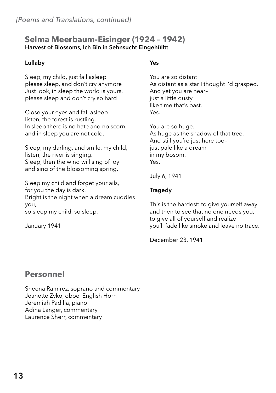#### **Selma Meerbaum-Eisinger (1924 – 1942) Harvest of Blossoms, Ich Bin in Sehnsucht Eingehülltt**

#### **Lullaby**

Sleep, my child, just fall asleep please sleep, and don't cry anymore Just look, in sleep the world is yours, please sleep and don't cry so hard

Close your eyes and fall asleep listen, the forest is rustling. In sleep there is no hate and no scorn, and in sleep you are not cold.

Sleep, my darling, and smile, my child, listen, the river is singing. Sleep, then the wind will sing of joy and sing of the blossoming spring.

Sleep my child and forget your ails, for you the day is dark. Bright is the night when a dream cuddles you,

so sleep my child, so sleep.

January 1941

#### **Yes**

You are so distant As distant as a star I thought I'd grasped. And yet you are near– just a little dusty like time that's past. Yes.

You are so huge. As huge as the shadow of that tree. And still you're just here too– just pale like a dream in my bosom. Yes.

July 6, 1941

#### **Tragedy**

This is the hardest: to give yourself away and then to see that no one needs you, to give all of yourself and realize you'll fade like smoke and leave no trace.

December 23, 1941

#### **Personnel**

Sheena Ramirez, soprano and commentary Jeanette Zyko, oboe, English Horn Jeremiah Padilla, piano Adina Langer, commentary Laurence Sherr, commentary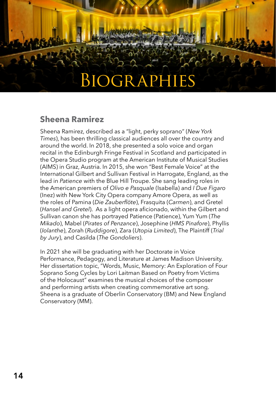### Biographies

#### **Sheena Ramirez**

Sheena Ramirez, described as a "light, perky soprano" (*New York Times*), has been thrilling classical audiences all over the country and around the world. In 2018, she presented a solo voice and organ recital in the Edinburgh Fringe Festival in Scotland and participated in the Opera Studio program at the American Institute of Musical Studies (AIMS) in Graz, Austria. In 2015, she won "Best Female Voice" at the International Gilbert and Sullivan Festival in Harrogate, England, as the lead in *Patience* with the Blue Hill Troupe. She sang leading roles in the American premiers of *Olivo e Pasquale* (Isabella) and *I Due Figaro* (Inez) with New York City Opera company Amore Opera, as well as the roles of Pamina (*Die Zauberflöte*), Frasquita (*Carmen*), and Gretel (*Hansel and Gretel*). As a light opera aficionado, within the Gilbert and Sullivan canon she has portrayed Patience (Patience), Yum Yum (*The Mikado*), Mabel (*Pirates of Penzance*), Josephine (*HMS Pinafore*), Phyllis (*Iolanthe*), Zorah (*Ruddigore*), Zara (*Utopia Limited*), The Plaintiff (*Trial by Jury*), and Casilda (*The Gondoliers*).

In 2021 she will be graduating with her Doctorate in Voice Performance, Pedagogy, and Literature at James Madison University. Her dissertation topic, "Words, Music, Memory: An Exploration of Four Soprano Song Cycles by Lori Laitman Based on Poetry from Victims of the Holocaust" examines the musical choices of the composer and performing artists when creating commemorative art song. Sheena is a graduate of Oberlin Conservatory (BM) and New England Conservatory (MM).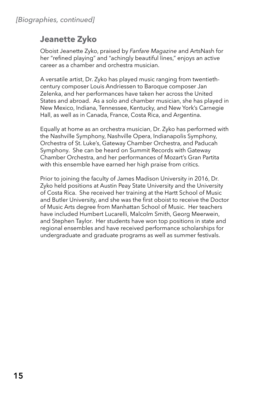#### **Jeanette Zyko**

Oboist Jeanette Zyko, praised by *Fanfare Magazine* and ArtsNash for her "refined playing" and "achingly beautiful lines," enjoys an active career as a chamber and orchestra musician.

A versatile artist, Dr. Zyko has played music ranging from twentiethcentury composer Louis Andriessen to Baroque composer Jan Zelenka, and her performances have taken her across the United States and abroad. As a solo and chamber musician, she has played in New Mexico, Indiana, Tennessee, Kentucky, and New York's Carnegie Hall, as well as in Canada, France, Costa Rica, and Argentina.

Equally at home as an orchestra musician, Dr. Zyko has performed with the Nashville Symphony, Nashville Opera, Indianapolis Symphony, Orchestra of St. Luke's, Gateway Chamber Orchestra, and Paducah Symphony. She can be heard on Summit Records with Gateway Chamber Orchestra, and her performances of Mozart's Gran Partita with this ensemble have earned her high praise from critics.

Prior to joining the faculty of James Madison University in 2016, Dr. Zyko held positions at Austin Peay State University and the University of Costa Rica. She received her training at the Hartt School of Music and Butler University, and she was the first oboist to receive the Doctor of Music Arts degree from Manhattan School of Music. Her teachers have included Humbert Lucarelli, Malcolm Smith, Georg Meerwein, and Stephen Taylor. Her students have won top positions in state and regional ensembles and have received performance scholarships for undergraduate and graduate programs as well as summer festivals.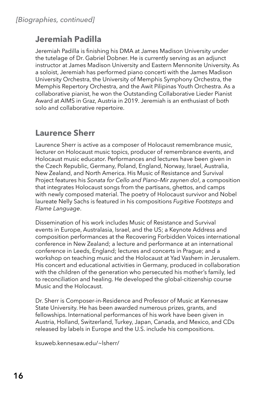#### **Jeremiah Padilla**

Jeremiah Padilla is finishing his DMA at James Madison University under the tutelage of Dr. Gabriel Dobner. He is currently serving as an adjunct instructor at James Madison University and Eastern Mennonite University. As a soloist, Jeremiah has performed piano concerti with the James Madison University Orchestra, the University of Memphis Symphony Orchestra, the Memphis Repertory Orchestra, and the Awit Pilipinas Youth Orchestra. As a collaborative pianist, he won the Outstanding Collaborative Lieder Pianist Award at AIMS in Graz, Austria in 2019. Jeremiah is an enthusiast of both solo and collaborative repertoire.

#### **Laurence Sherr**

Laurence Sherr is active as a composer of Holocaust remembrance music, lecturer on Holocaust music topics, producer of remembrance events, and Holocaust music educator. Performances and lectures have been given in the Czech Republic, Germany, Poland, England, Norway, Israel, Australia, New Zealand, and North America. His Music of Resistance and Survival Project features his *Sonata for Cello and Piano–Mir zaynen do!*, a composition that integrates Holocaust songs from the partisans, ghettos, and camps with newly composed material. The poetry of Holocaust survivor and Nobel laureate Nelly Sachs is featured in his compositions *Fugitive Footsteps* and *Flame Language*.

Dissemination of his work includes Music of Resistance and Survival events in Europe, Australasia, Israel, and the US; a Keynote Address and composition performances at the Recovering Forbidden Voices international conference in New Zealand; a lecture and performance at an international conference in Leeds, England; lectures and concerts in Prague; and a workshop on teaching music and the Holocaust at Yad Vashem in Jerusalem. His concert and educational activities in Germany, produced in collaboration with the children of the generation who persecuted his mother's family, led to reconciliation and healing. He developed the global-citizenship course Music and the Holocaust.

Dr. Sherr is Composer-in-Residence and Professor of Music at Kennesaw State University. He has been awarded numerous prizes, grants, and fellowships. International performances of his work have been given in Austria, Holland, Switzerland, Turkey, Japan, Canada, and Mexico, and CDs released by labels in Europe and the U.S. include his compositions.

ksuweb.kennesaw.edu/~lsherr/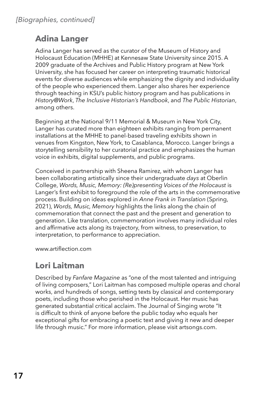#### **Adina Langer**

Adina Langer has served as the curator of the Museum of History and Holocaust Education (MHHE) at Kennesaw State University since 2015. A 2009 graduate of the Archives and Public History program at New York University, she has focused her career on interpreting traumatic historical events for diverse audiences while emphasizing the dignity and individuality of the people who experienced them. Langer also shares her experience through teaching in KSU's public history program and has publications in *History@Work*, *The Inclusive Historian's Handbook*, and *The Public Historian*, among others.

Beginning at the National 9/11 Memorial & Museum in New York City, Langer has curated more than eighteen exhibits ranging from permanent installations at the MHHE to panel-based traveling exhibits shown in venues from Kingston, New York, to Casablanca, Morocco. Langer brings a storytelling sensibility to her curatorial practice and emphasizes the human voice in exhibits, digital supplements, and public programs.

Conceived in partnership with Sheena Ramirez, with whom Langer has been collaborating artistically since their undergraduate *days* at Oberlin College, *Words, Music, Memory: (Re)presenting Voices of the Holocaust* is Langer's first exhibit to foreground the role of the arts in the commemorative process. Building on ideas explored in *Anne Frank in Translation* (Spring, 2021), *Words, Music, Memory* highlights the links along the chain of commemoration that connect the past and the present and generation to generation. Like translation, commemoration involves many individual roles and affirmative acts along its trajectory, from witness, to preservation, to interpretation, to performance to appreciation.

www.artiflection.com

#### **Lori Laitman**

Described by *Fanfare Magazine* as "one of the most talented and intriguing of living composers," Lori Laitman has composed multiple operas and choral works, and hundreds of songs, setting texts by classical and contemporary poets, including those who perished in the Holocaust. Her music has generated substantial critical acclaim. The Journal of Singing wrote "It is difficult to think of anyone before the public today who equals her exceptional gifts for embracing a poetic text and giving it new and deeper life through music." For more information, please visit artsongs.com.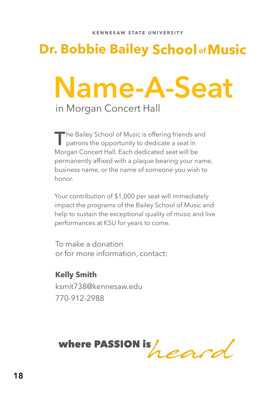### **Dr. Bobbie Bailey School of Music**

### **Name-A-Seat** in Morgan Concert Hall

The Bailey School of Music is offering friends and<br>patrons the opportunity to dedicate a seat in Morgan Concert Hall. Each dedicated seat will be permanently affixed with a plaque bearing your name, business name, or the name of someone you wish to honor.

Your contribution of \$1,000 per seat will immediately impact the programs of the Bailey School of Music and help to sustain the exceptional quality of music and live performances at KSU for years to come.

To make a donation or for more information, contact:

**Kelly Smith** ksmit738@kennesaw.edu 770-912-2988

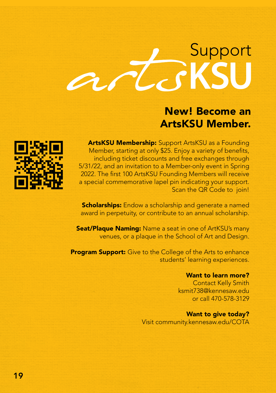# Support

### New! Become an ArtsKSU Member.



ArtsKSU Membership: Support ArtsKSU as a Founding Member, starting at only \$25. Enjoy a variety of benefits, including ticket discounts and free exchanges through 5/31/22, and an invitation to a Member-only event in Spring 2022. The first 100 ArtsKSU Founding Members will receive a special commemorative lapel pin indicating your support. Scan the QR Code to join!

**Scholarships:** Endow a scholarship and generate a named award in perpetuity, or contribute to an annual scholarship.

**Seat/Plaque Naming:** Name a seat in one of ArtKSU's many venues, or a plaque in the School of Art and Design.

**Program Support:** Give to the College of the Arts to enhance students' learning experiences.

#### Want to learn more?

 Contact Kelly Smith ksmit738@kennesaw.edu or call 470-578-3129

Want to give today? Visit community.kennesaw.edu/COTA